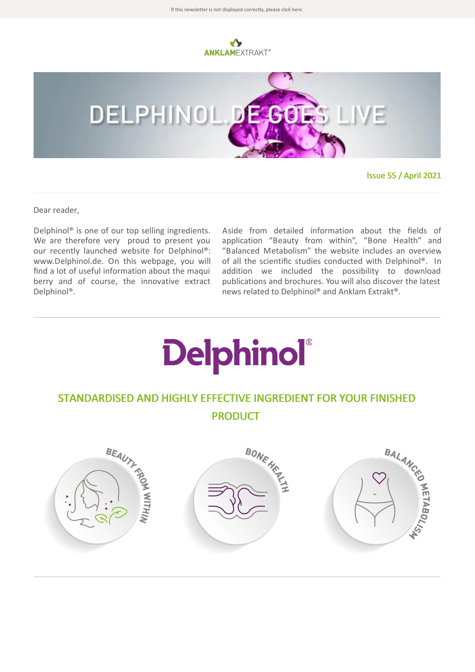



Issue 55 / April 2021

Dear reader,

Delphinol® is one of our top selling ingredients. We are therefore very proud to present you our recently launched website for Delphinol®: www.Delphinol.de. On this webpage, you will find a lot of useful information about the maqui berry and of course, the innovative extract Delphinol®.

Aside from detailed information about the fields of application "Beauty from within", "Bone Health" and "Balanced Metabolism" the website includes an overview of all the scientific studies conducted with Delphinol®. In addition we included the possibility to download publications and brochures. You will also discover the latest news related to Delphinol® and Anklam Extrakt®.

## **Delphinol**®

## STANDARDISED AND HIGHLY EFFECTIVE INGREDIENT FOR YOUR FINISHED PRODUCT